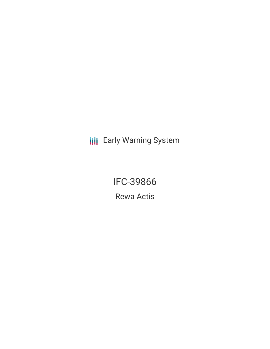**III** Early Warning System

IFC-39866 Rewa Actis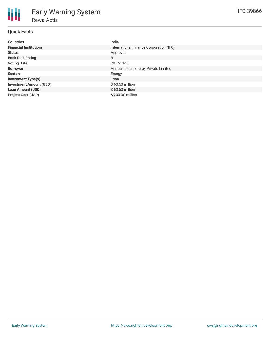| <b>Countries</b>               | India                                   |
|--------------------------------|-----------------------------------------|
| <b>Financial Institutions</b>  | International Finance Corporation (IFC) |
| <b>Status</b>                  | Approved                                |
| <b>Bank Risk Rating</b>        | B                                       |
| <b>Voting Date</b>             | 2017-11-30                              |
| <b>Borrower</b>                | Arinsun Clean Energy Private Limited    |
| <b>Sectors</b>                 | Energy                                  |
| <b>Investment Type(s)</b>      | Loan                                    |
| <b>Investment Amount (USD)</b> | \$60.50 million                         |
| <b>Loan Amount (USD)</b>       | $$60.50$ million                        |
| <b>Project Cost (USD)</b>      | \$200.00 million                        |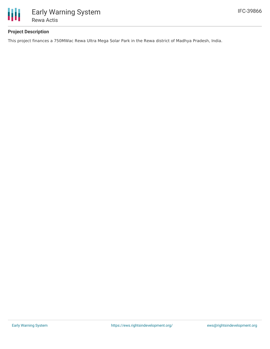

# **Project Description**

This project finances a 750MWac Rewa Ultra Mega Solar Park in the Rewa district of Madhya Pradesh, India.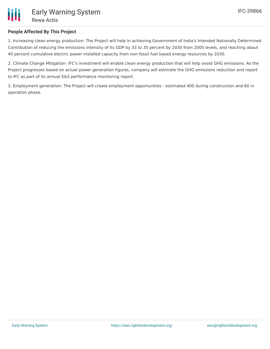

# **People Affected By This Project**

1. Increasing clean energy production: The Project will help in achieving Government of India's Intended Nationally Determined Contribution of reducing the emissions intensity of its GDP by 33 to 35 percent by 2030 from 2005 levels, and reaching about 40 percent cumulative electric power installed capacity from non-fossil fuel based energy resources by 2030.

2. Climate Change Mitigation: IFC's investment will enable clean energy production that will help avoid GHG emissions. As the Project progresses based on actual power generation figures, company will estimate the GHG emissions reduction and report to IFC as part of its annual E&S performance monitoring report.

3. Employment generation: The Project will create employment opportunities - estimated 400 during construction and 60 in operation phase.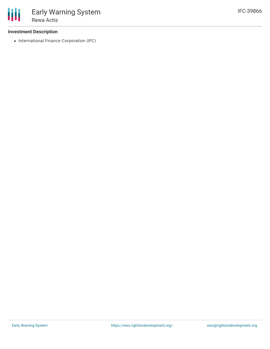### **Investment Description**

• International Finance Corporation (IFC)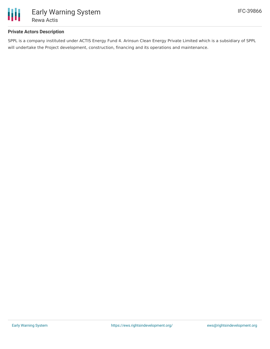

### **Private Actors Description**

SPPL is a company instituted under ACTIS Energy Fund 4. Arinsun Clean Energy Private Limited which is a subsidiary of SPPL will undertake the Project development, construction, financing and its operations and maintenance.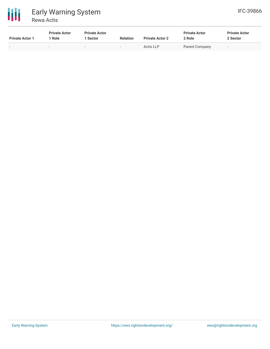

| <b>Private Actor 1</b> | <b>Private Actor</b><br>Role | <b>Private Actor</b><br><b>Sector</b> | <b>Relation</b>          | <b>Private Actor 2</b> | <b>Private Actor</b><br>2 Role | <b>Private Actor</b><br>2 Sector |
|------------------------|------------------------------|---------------------------------------|--------------------------|------------------------|--------------------------------|----------------------------------|
|                        |                              | $\overline{\phantom{a}}$              | $\overline{\phantom{0}}$ | Actis LLP              | Parent Company                 |                                  |